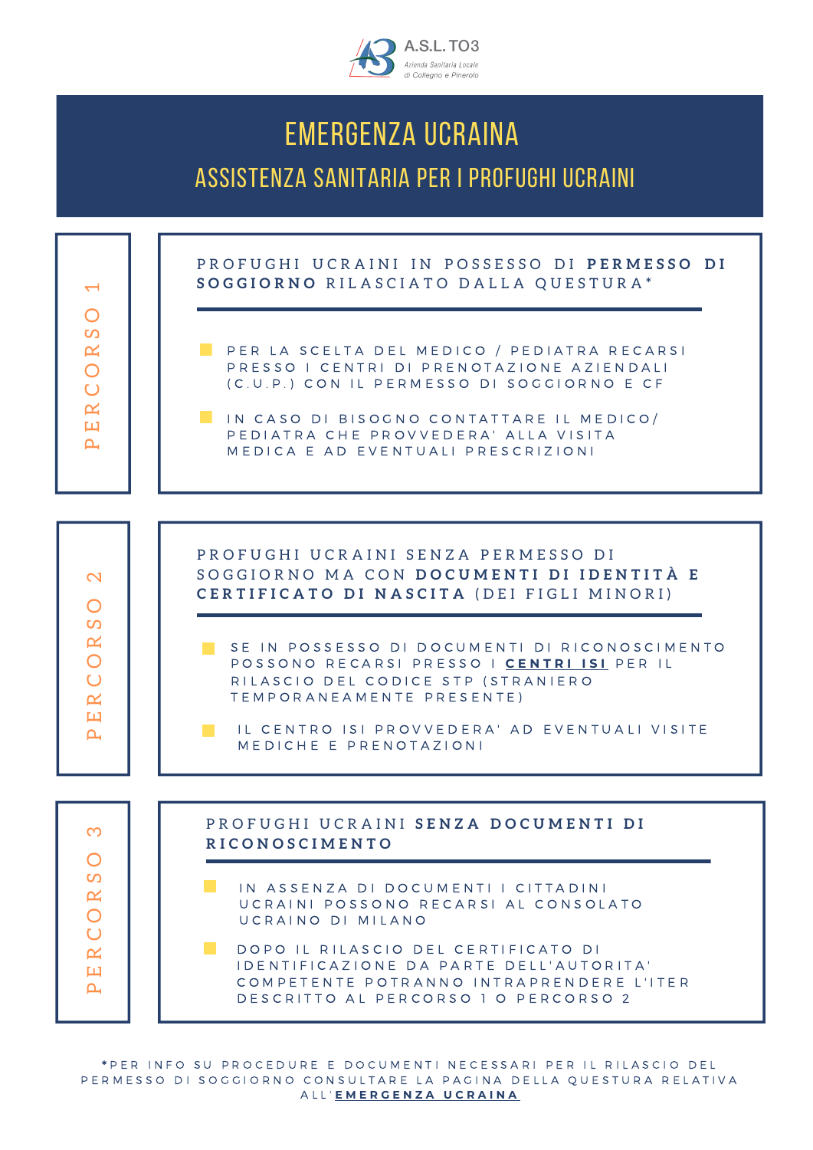

# EMERGENZA UCRAINA

ASSISTENZA SANITARIA PER I PROFUGHI UCRAINI



\*PER INFO SU PROCEDURE E DOCUMENTI NECESSARI PER IL RILASCIO DEL PERMESSO DI SOGGIORNO CONSULTARE LA PAGINA DELLA QUESTURA RELATIVA A L L ' **E [M](https://questure.poliziadistato.it/it/Torino/articolo/6946230b21134229625126497) E R G E N Z A U C R A I N A**